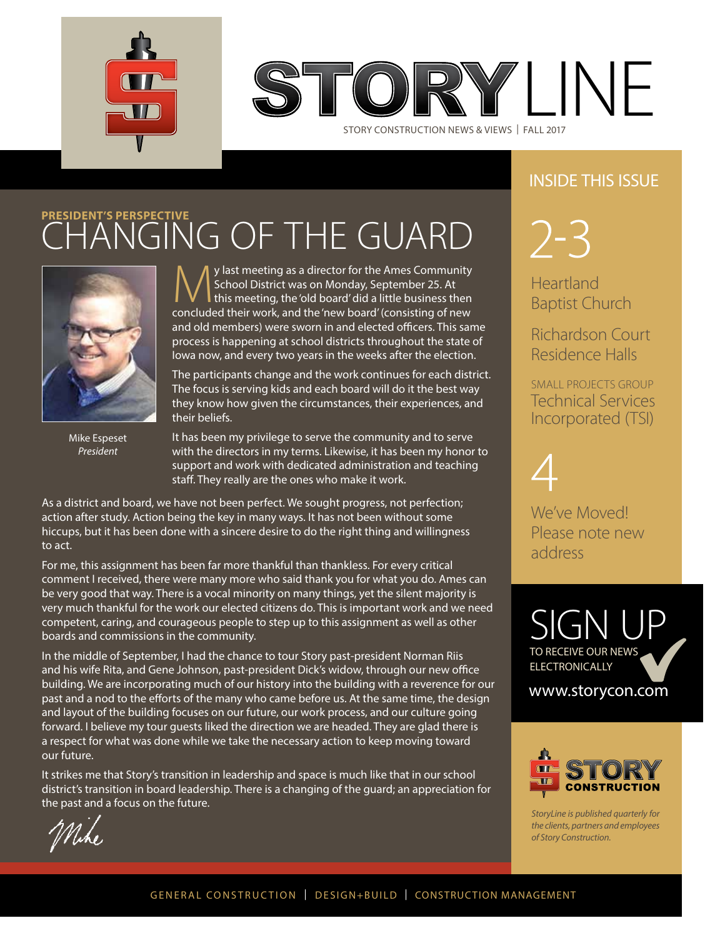

IRY LINF

STORY CONSTRUCTION NEWS & VIEWS | FALL 2017

## INSIDE THIS ISSUE

# **PRESIDENT'S PERSPECTIVE** CHANGING OF THE GUARD



Mike Espeset *President* 

**My last meeting as a director for the Ames Community**<br>School District was on Monday, September 25. At<br>concluded their work, and the 'new board' (consisting of new School District was on Monday, September 25. At concluded their work, and the 'new board' (consisting of new and old members) were sworn in and elected officers. This same process is happening at school districts throughout the state of Iowa now, and every two years in the weeks after the election.

The participants change and the work continues for each district. The focus is serving kids and each board will do it the best way they know how given the circumstances, their experiences, and their beliefs.

It has been my privilege to serve the community and to serve with the directors in my terms. Likewise, it has been my honor to support and work with dedicated administration and teaching staff. They really are the ones who make it work.

As a district and board, we have not been perfect. We sought progress, not perfection; action after study. Action being the key in many ways. It has not been without some hiccups, but it has been done with a sincere desire to do the right thing and willingness to act.

For me, this assignment has been far more thankful than thankless. For every critical comment I received, there were many more who said thank you for what you do. Ames can be very good that way. There is a vocal minority on many things, yet the silent majority is very much thankful for the work our elected citizens do. This is important work and we need competent, caring, and courageous people to step up to this assignment as well as other boards and commissions in the community.

In the middle of September, I had the chance to tour Story past-president Norman Riis and his wife Rita, and Gene Johnson, past-president Dick's widow, through our new office building. We are incorporating much of our history into the building with a reverence for our past and a nod to the efforts of the many who came before us. At the same time, the design and layout of the building focuses on our future, our work process, and our culture going forward. I believe my tour guests liked the direction we are headed. They are glad there is a respect for what was done while we take the necessary action to keep moving toward our future.

It strikes me that Story's transition in leadership and space is much like that in our school district's transition in board leadership. There is a changing of the guard; an appreciation for the past and a focus on the future.

 $2 - 3$ 

**Heartland** Baptist Church

Richardson Court Residence Halls

SMALL PROJECTS GROUP Technical Services Incorporated (TSI)



We've Moved! Please note new address

SIGN UP TO RECEIVE OUR NEWS **ELECTRONICALLY** 

www.storycon.com



*StoryLine is published quarterly for the clients, partners and employees of Story Construction.*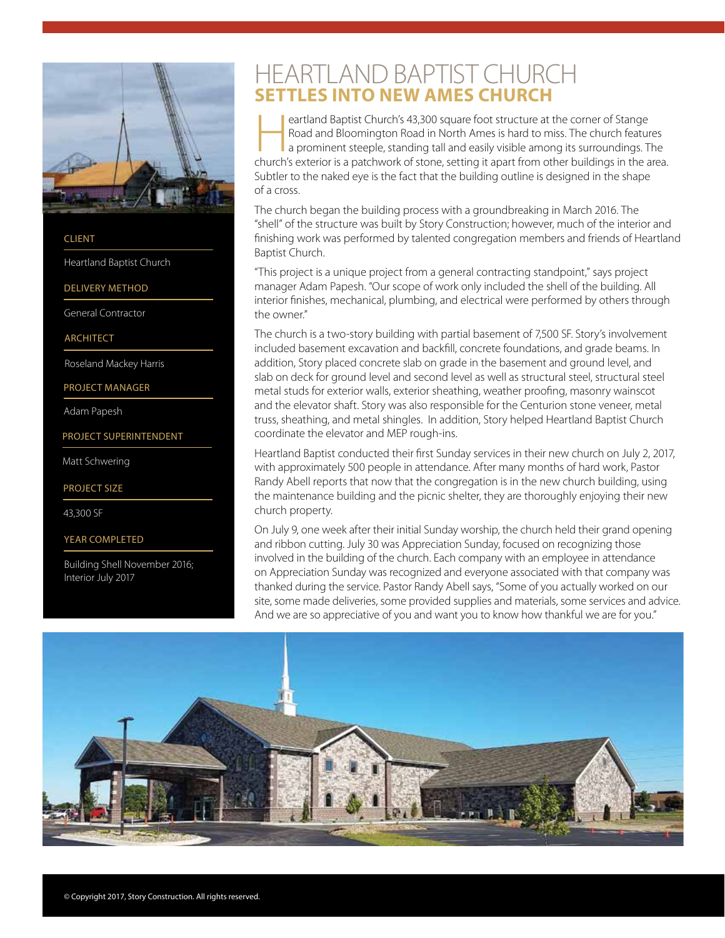

**CLIENT** 

Heartland Baptist Church

DELIVERY METHOD

General Contractor

ARCHITECT

Roseland Mackey Harris

PROJECT MANAGER

Adam Papesh

PROJECT SUPERINTENDENT

Matt Schwering

PROJECT SIZE

43,300 SF

YEAR COMPLETED

Building Shell November 2016; Interior July 2017

## HEARTLAND BAPTIST CHURCH **SETTLES INTO NEW AMES CHURCH**

eartland Baptist Church's 43,300 square foot structure at the corner of Stange<br>
Road and Bloomington Road in North Ames is hard to miss. The church features<br>
a prominent steeple, standing tall and easily visible among its Road and Bloomington Road in North Ames is hard to miss. The church features church's exterior is a patchwork of stone, setting it apart from other buildings in the area. Subtler to the naked eye is the fact that the building outline is designed in the shape of a cross.

The church began the building process with a groundbreaking in March 2016. The "shell" of the structure was built by Story Construction; however, much of the interior and finishing work was performed by talented congregation members and friends of Heartland Baptist Church.

"This project is a unique project from a general contracting standpoint," says project manager Adam Papesh. "Our scope of work only included the shell of the building. All interior finishes, mechanical, plumbing, and electrical were performed by others through the owner."

The church is a two-story building with partial basement of 7,500 SF. Story's involvement included basement excavation and backfill, concrete foundations, and grade beams. In addition, Story placed concrete slab on grade in the basement and ground level, and slab on deck for ground level and second level as well as structural steel, structural steel metal studs for exterior walls, exterior sheathing, weather proofing, masonry wainscot and the elevator shaft. Story was also responsible for the Centurion stone veneer, metal truss, sheathing, and metal shingles. In addition, Story helped Heartland Baptist Church coordinate the elevator and MEP rough-ins.

Heartland Baptist conducted their first Sunday services in their new church on July 2, 2017, with approximately 500 people in attendance. After many months of hard work, Pastor Randy Abell reports that now that the congregation is in the new church building, using the maintenance building and the picnic shelter, they are thoroughly enjoying their new church property.

On July 9, one week after their initial Sunday worship, the church held their grand opening and ribbon cutting. July 30 was Appreciation Sunday, focused on recognizing those involved in the building of the church. Each company with an employee in attendance on Appreciation Sunday was recognized and everyone associated with that company was thanked during the service. Pastor Randy Abell says, "Some of you actually worked on our site, some made deliveries, some provided supplies and materials, some services and advice. And we are so appreciative of you and want you to know how thankful we are for you."

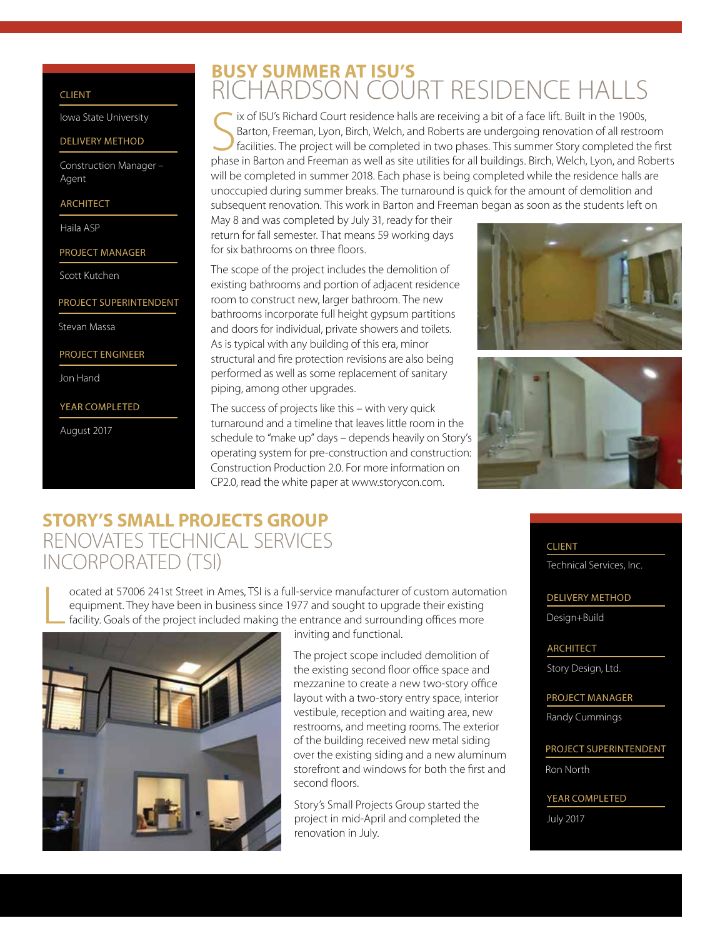#### CLIENT

Iowa State University

#### DELIVERY METHOD

Construction Manager – Agent

#### ARCHITECT

Haila ASP

- PROJECT MANAGER
- Scott Kutchen

#### PROJECT SUPERINTENDENT

Stevan Massa

#### PROJECT ENGINEER

Jon Hand

#### YEAR COMPLETED

August 2017

## **BUSY SUMMER AT ISU'S**  RICHARDSON COURT RESIDENCE HALLS

ix of ISU's Richard Court residence halls are receiving a bit of a face lift. Built in the 1900s,<br>Barton, Freeman, Lyon, Birch, Welch, and Roberts are undergoing renovation of all restroom<br>facilities. The project will be c ix of ISU's Richard Court residence halls are receiving a bit of a face lift. Built in the 1900s, Barton, Freeman, Lyon, Birch, Welch, and Roberts are undergoing renovation of all restroom facilities. The project will be completed in two phases. This summer Story completed the first will be completed in summer 2018. Each phase is being completed while the residence halls are unoccupied during summer breaks. The turnaround is quick for the amount of demolition and subsequent renovation. This work in Barton and Freeman began as soon as the students left on

May 8 and was completed by July 31, ready for their return for fall semester. That means 59 working days for six bathrooms on three floors.

The scope of the project includes the demolition of existing bathrooms and portion of adjacent residence room to construct new, larger bathroom. The new bathrooms incorporate full height gypsum partitions and doors for individual, private showers and toilets. As is typical with any building of this era, minor structural and fire protection revisions are also being performed as well as some replacement of sanitary piping, among other upgrades.

The success of projects like this – with very quick turnaround and a timeline that leaves little room in the schedule to "make up" days – depends heavily on Story's operating system for pre-construction and construction: Construction Production 2.0. For more information on CP2.0, read the white paper at www.storycon.com.





## **STORY'S SMALL PROJECTS GROUP**  RENOVATES TECHNICAL SERVICES INCORPORATED (TSI)

L ocated at 57006 241st Street in Ames, TSI is a full-service manufacturer of custom automation equipment. They have been in business since 1977 and sought to upgrade their existing facility. Goals of the project included making the entrance and surrounding offices more



inviting and functional.

 The project scope included demolition of the existing second floor office space and mezzanine to create a new two-story office layout with a two-story entry space, interior vestibule, reception and waiting area, new restrooms, and meeting rooms. The exterior of the building received new metal siding over the existing siding and a new aluminum storefront and windows for both the first and second floors.

 Story's Small Projects Group started the project in mid-April and completed the renovation in July.

### CLIENT

Technical Services, Inc.

#### DELIVERY METHOD

Design+Build

ARCHITECT

Story Design, Ltd.

PROJECT MANAGER

Randy Cummings

PROJECT SUPERINTENDENT

Ron North

YEAR COMPLETED

July 2017